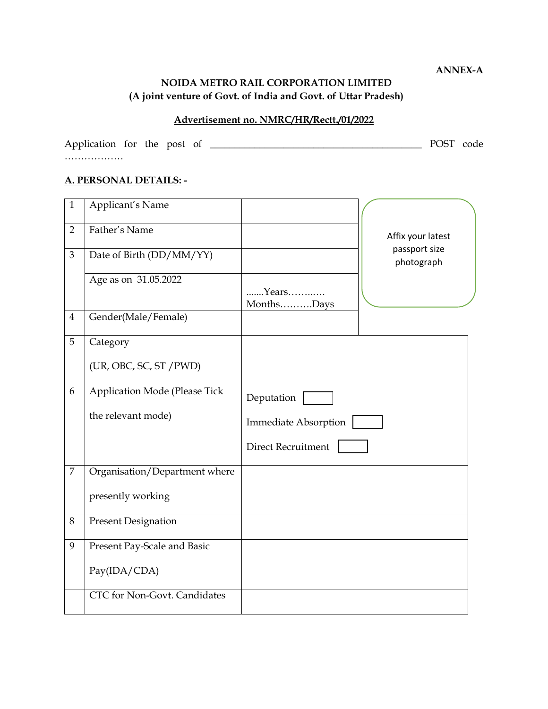**ANNEX-A**

## **NOIDA METRO RAIL CORPORATION LIMITED (A joint venture of Govt. of India and Govt. of Uttar Pradesh)**

# **Advertisement no. NMRC/HR/Rectt./01/2022**

Application for the post of \_\_\_\_\_\_\_\_\_\_\_\_\_\_\_\_\_\_\_\_\_\_\_\_\_\_\_\_\_\_\_\_\_\_\_\_\_\_\_\_\_\_\_ POST code ………………

## **A. PERSONAL DETAILS: -**

| $\mathbf{1}$   | Applicant's Name              |                             |
|----------------|-------------------------------|-----------------------------|
|                | Father's Name                 |                             |
| $\overline{2}$ |                               | Affix your latest           |
| 3              | Date of Birth (DD/MM/YY)      | passport size               |
|                |                               | photograph                  |
|                | Age as on 31.05.2022          |                             |
|                |                               | Years                       |
|                |                               | MonthsDays                  |
| $\overline{4}$ | Gender(Male/Female)           |                             |
| 5              |                               |                             |
|                | Category                      |                             |
|                | (UR, OBC, SC, ST / PWD)       |                             |
|                |                               |                             |
| 6              | Application Mode (Please Tick |                             |
|                |                               | Deputation                  |
|                | the relevant mode)            | <b>Immediate Absorption</b> |
|                |                               |                             |
|                |                               | Direct Recruitment          |
|                |                               |                             |
| 7              | Organisation/Department where |                             |
|                | presently working             |                             |
|                |                               |                             |
| 8              | <b>Present Designation</b>    |                             |
|                |                               |                             |
| 9              | Present Pay-Scale and Basic   |                             |
|                |                               |                             |
|                | Pay(IDA/CDA)                  |                             |
|                |                               |                             |
|                | CTC for Non-Govt. Candidates  |                             |
|                |                               |                             |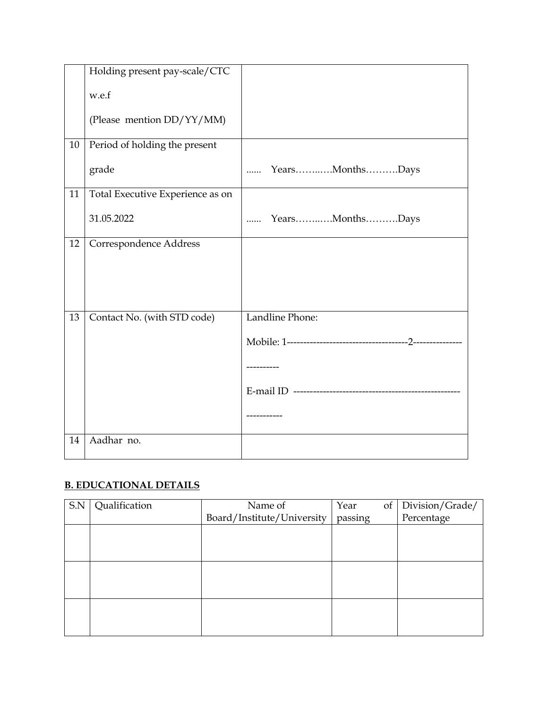|    | Holding present pay-scale/CTC    |                             |
|----|----------------------------------|-----------------------------|
|    | w.e.f                            |                             |
|    | (Please mention DD/YY/MM)        |                             |
| 10 | Period of holding the present    |                             |
|    | grade                            | YearsMonthsDays<br>.        |
| 11 | Total Executive Experience as on |                             |
|    | 31.05.2022                       | YearsMonthsDays<br>$\cdots$ |
| 12 | Correspondence Address           |                             |
| 13 | Contact No. (with STD code)      | Landline Phone:             |
|    |                                  |                             |
|    |                                  |                             |
|    |                                  |                             |
|    |                                  |                             |
| 14 | Aadhar no.                       |                             |

# **B. EDUCATIONAL DETAILS**

| S.N | Qualification | Name of                    | of<br>Year | Division/Grade/ |
|-----|---------------|----------------------------|------------|-----------------|
|     |               | Board/Institute/University | passing    | Percentage      |
|     |               |                            |            |                 |
|     |               |                            |            |                 |
|     |               |                            |            |                 |
|     |               |                            |            |                 |
|     |               |                            |            |                 |
|     |               |                            |            |                 |
|     |               |                            |            |                 |
|     |               |                            |            |                 |
|     |               |                            |            |                 |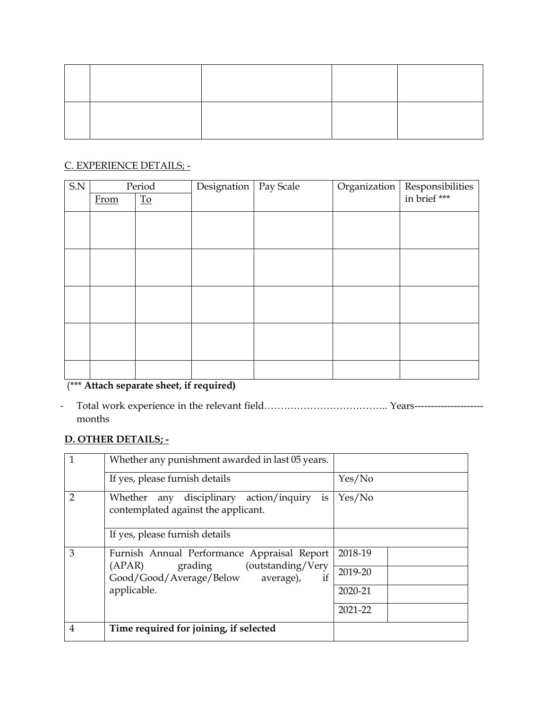# C. EXPERIENCE DETAILS; -

| $\ensuremath{\mathrm{S}}\xspace\ensuremath{\mathrm{N}}\xspace$ |      | Period                          | Designation | Pay Scale | Organization Responsibilities |
|----------------------------------------------------------------|------|---------------------------------|-------------|-----------|-------------------------------|
|                                                                | From | $\underline{\operatorname{To}}$ |             |           |                               |
|                                                                |      |                                 |             |           |                               |
|                                                                |      |                                 |             |           |                               |
|                                                                |      |                                 |             |           |                               |
|                                                                |      |                                 |             |           |                               |
|                                                                |      |                                 |             |           |                               |
|                                                                |      |                                 |             |           |                               |
|                                                                |      |                                 |             |           |                               |
|                                                                |      |                                 |             |           |                               |
|                                                                |      |                                 |             |           |                               |

# (\*\*\* **Attach separate sheet, if required)**

- Total work experience in the relevant field……………………………….. Years-------------------- months

## **D. OTHER DETAILS; -**

|                | Whether any punishment awarded in last 05 years.                                                                                             |         |
|----------------|----------------------------------------------------------------------------------------------------------------------------------------------|---------|
|                | If yes, please furnish details                                                                                                               | Yes/No  |
| $\overline{2}$ | Whether any disciplinary action/inquiry<br>is<br>contemplated against the applicant.                                                         | Yes/No  |
|                | If yes, please furnish details                                                                                                               |         |
| 3              | Furnish Annual Performance Appraisal Report<br>grading (outstanding/Very<br>(APAR)<br>if<br>Good/Good/Average/Below average),<br>applicable. | 2018-19 |
|                |                                                                                                                                              | 2019-20 |
|                |                                                                                                                                              | 2020-21 |
|                |                                                                                                                                              | 2021-22 |
| 4              | Time required for joining, if selected                                                                                                       |         |